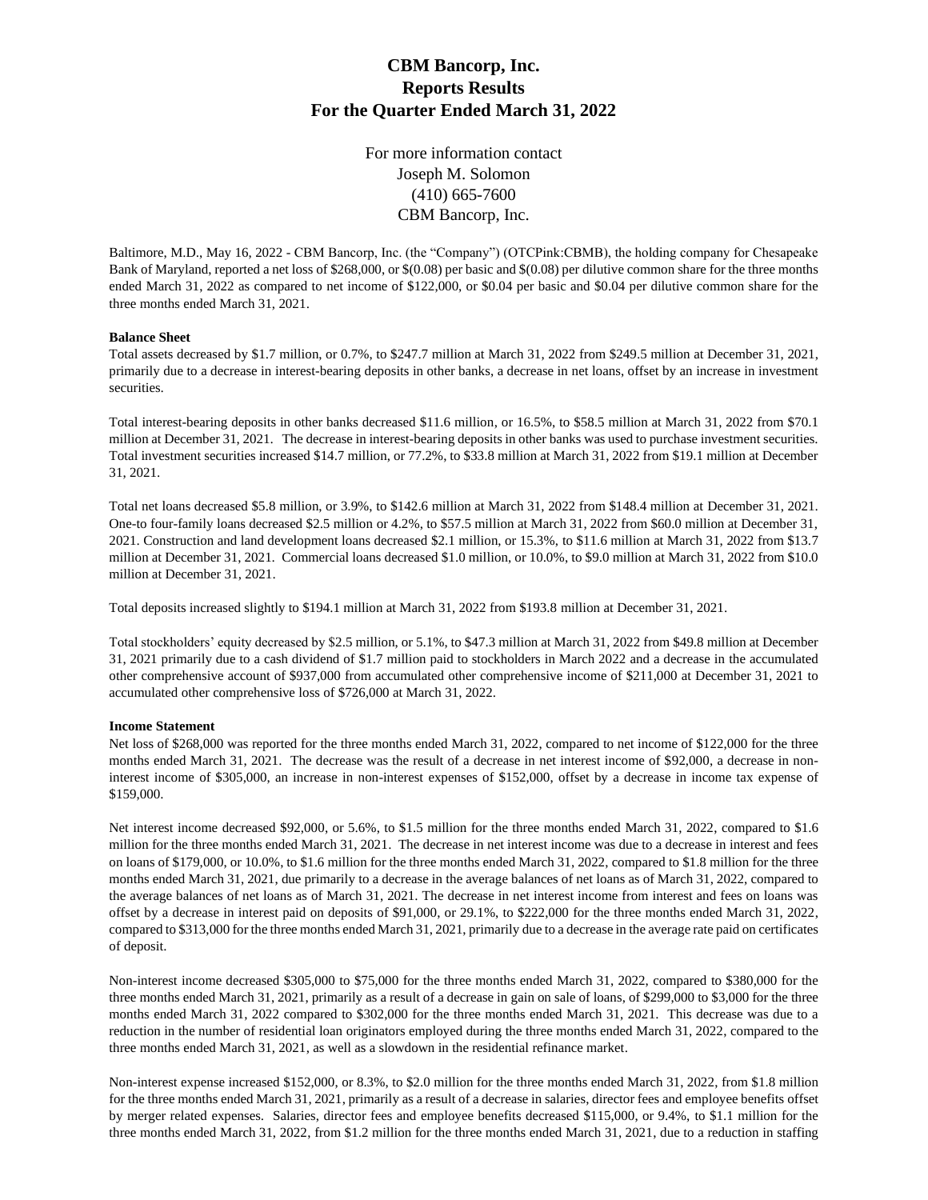# **CBM Bancorp, Inc. Reports Results For the Quarter Ended March 31, 2022**

For more information contact Joseph M. Solomon (410) 665-7600 CBM Bancorp, Inc.

Baltimore, M.D., May 16, 2022 - CBM Bancorp, Inc. (the "Company") (OTCPink:CBMB), the holding company for Chesapeake Bank of Maryland, reported a net loss of \$268,000, or \$(0.08) per basic and \$(0.08) per dilutive common share for the three months ended March 31, 2022 as compared to net income of \$122,000, or \$0.04 per basic and \$0.04 per dilutive common share for the three months ended March 31, 2021.

### **Balance Sheet**

Total assets decreased by \$1.7 million, or 0.7%, to \$247.7 million at March 31, 2022 from \$249.5 million at December 31, 2021, primarily due to a decrease in interest-bearing deposits in other banks, a decrease in net loans, offset by an increase in investment securities.

Total interest-bearing deposits in other banks decreased \$11.6 million, or 16.5%, to \$58.5 million at March 31, 2022 from \$70.1 million at December 31, 2021. The decrease in interest-bearing deposits in other banks was used to purchase investment securities. Total investment securities increased \$14.7 million, or 77.2%, to \$33.8 million at March 31, 2022 from \$19.1 million at December 31, 2021.

Total net loans decreased \$5.8 million, or 3.9%, to \$142.6 million at March 31, 2022 from \$148.4 million at December 31, 2021. One-to four-family loans decreased \$2.5 million or 4.2%, to \$57.5 million at March 31, 2022 from \$60.0 million at December 31, 2021. Construction and land development loans decreased \$2.1 million, or 15.3%, to \$11.6 million at March 31, 2022 from \$13.7 million at December 31, 2021. Commercial loans decreased \$1.0 million, or 10.0%, to \$9.0 million at March 31, 2022 from \$10.0 million at December 31, 2021.

Total deposits increased slightly to \$194.1 million at March 31, 2022 from \$193.8 million at December 31, 2021.

Total stockholders' equity decreased by \$2.5 million, or 5.1%, to \$47.3 million at March 31, 2022 from \$49.8 million at December 31, 2021 primarily due to a cash dividend of \$1.7 million paid to stockholders in March 2022 and a decrease in the accumulated other comprehensive account of \$937,000 from accumulated other comprehensive income of \$211,000 at December 31, 2021 to accumulated other comprehensive loss of \$726,000 at March 31, 2022.

#### **Income Statement**

Net loss of \$268,000 was reported for the three months ended March 31, 2022, compared to net income of \$122,000 for the three months ended March 31, 2021. The decrease was the result of a decrease in net interest income of \$92,000, a decrease in noninterest income of \$305,000, an increase in non-interest expenses of \$152,000, offset by a decrease in income tax expense of \$159,000.

Net interest income decreased \$92,000, or 5.6%, to \$1.5 million for the three months ended March 31, 2022, compared to \$1.6 million for the three months ended March 31, 2021. The decrease in net interest income was due to a decrease in interest and fees on loans of \$179,000, or 10.0%, to \$1.6 million for the three months ended March 31, 2022, compared to \$1.8 million for the three months ended March 31, 2021, due primarily to a decrease in the average balances of net loans as of March 31, 2022, compared to the average balances of net loans as of March 31, 2021. The decrease in net interest income from interest and fees on loans was offset by a decrease in interest paid on deposits of \$91,000, or 29.1%, to \$222,000 for the three months ended March 31, 2022, compared to \$313,000 for the three months ended March 31, 2021, primarily due to a decrease in the average rate paid on certificates of deposit.

Non-interest income decreased \$305,000 to \$75,000 for the three months ended March 31, 2022, compared to \$380,000 for the three months ended March 31, 2021, primarily as a result of a decrease in gain on sale of loans, of \$299,000 to \$3,000 for the three months ended March 31, 2022 compared to \$302,000 for the three months ended March 31, 2021. This decrease was due to a reduction in the number of residential loan originators employed during the three months ended March 31, 2022, compared to the three months ended March 31, 2021, as well as a slowdown in the residential refinance market.

Non-interest expense increased \$152,000, or 8.3%, to \$2.0 million for the three months ended March 31, 2022, from \$1.8 million for the three months ended March 31, 2021, primarily as a result of a decrease in salaries, director fees and employee benefits offset by merger related expenses. Salaries, director fees and employee benefits decreased \$115,000, or 9.4%, to \$1.1 million for the three months ended March 31, 2022, from \$1.2 million for the three months ended March 31, 2021, due to a reduction in staffing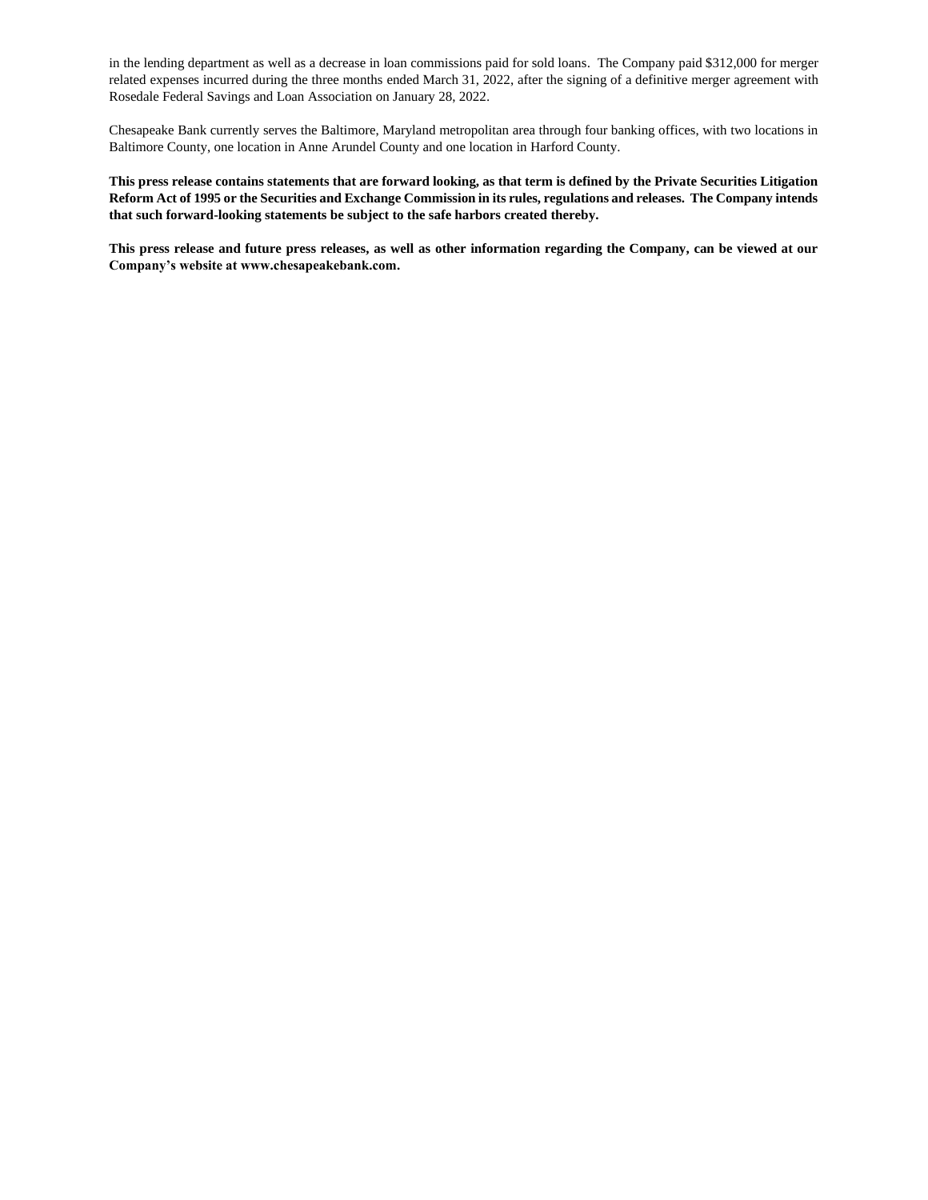in the lending department as well as a decrease in loan commissions paid for sold loans. The Company paid \$312,000 for merger related expenses incurred during the three months ended March 31, 2022, after the signing of a definitive merger agreement with Rosedale Federal Savings and Loan Association on January 28, 2022.

Chesapeake Bank currently serves the Baltimore, Maryland metropolitan area through four banking offices, with two locations in Baltimore County, one location in Anne Arundel County and one location in Harford County.

**This press release contains statements that are forward looking, as that term is defined by the Private Securities Litigation Reform Act of 1995 or the Securities and Exchange Commission in its rules, regulations and releases. The Company intends that such forward-looking statements be subject to the safe harbors created thereby.** 

**This press release and future press releases, as well as other information regarding the Company, can be viewed at our Company's website at www.chesapeakebank.com.**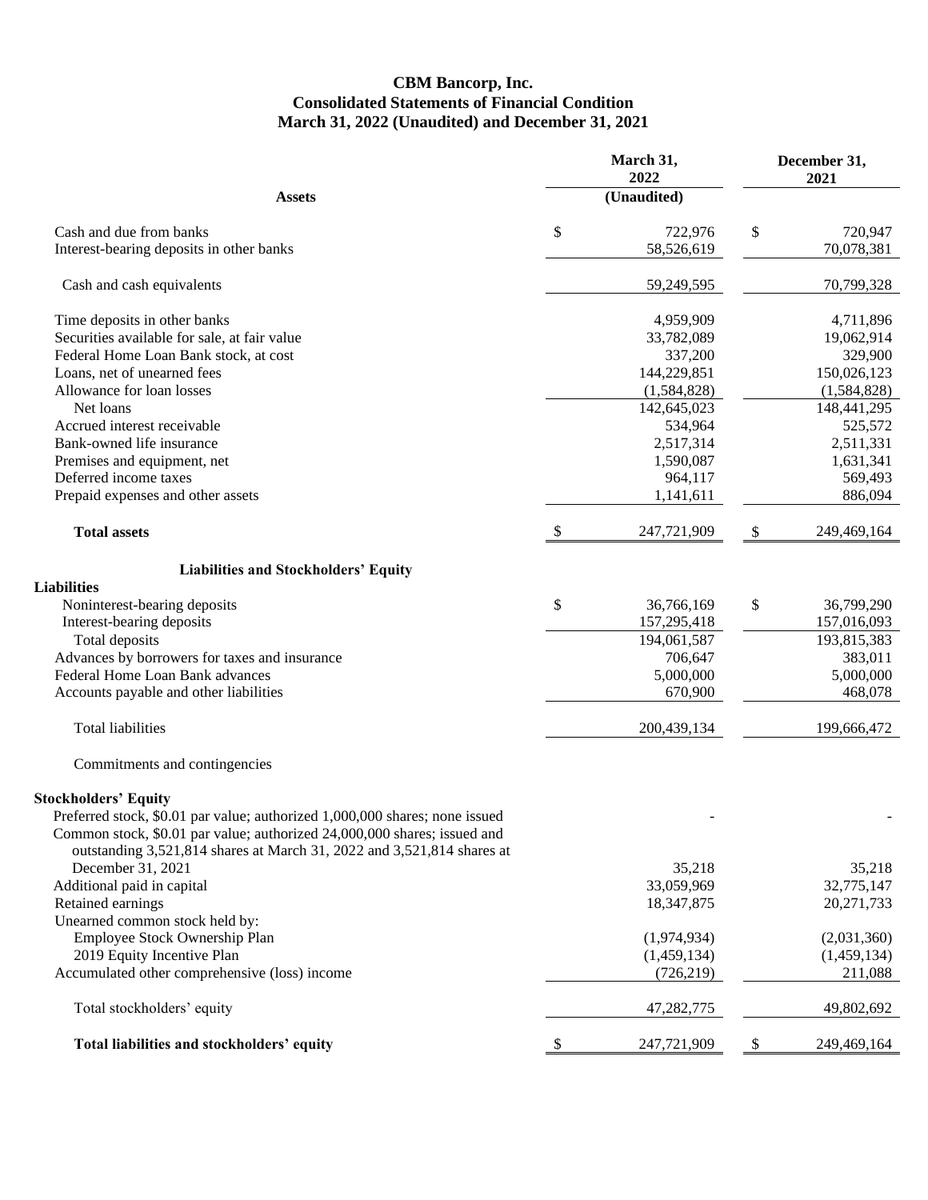## **CBM Bancorp, Inc. Consolidated Statements of Financial Condition March 31, 2022 (Unaudited) and December 31, 2021**

|                                                                             | March 31,<br>2022 | December 31,<br>2021 |  |
|-----------------------------------------------------------------------------|-------------------|----------------------|--|
| <b>Assets</b>                                                               | (Unaudited)       |                      |  |
| Cash and due from banks                                                     | \$<br>722,976     | \$<br>720,947        |  |
| Interest-bearing deposits in other banks                                    | 58,526,619        | 70,078,381           |  |
| Cash and cash equivalents                                                   | 59,249,595        | 70,799,328           |  |
| Time deposits in other banks                                                | 4,959,909         | 4,711,896            |  |
| Securities available for sale, at fair value                                | 33,782,089        | 19,062,914           |  |
| Federal Home Loan Bank stock, at cost                                       | 337,200           | 329,900              |  |
| Loans, net of unearned fees                                                 | 144,229,851       | 150,026,123          |  |
| Allowance for loan losses                                                   | (1,584,828)       | (1,584,828)          |  |
| Net loans                                                                   | 142,645,023       | 148,441,295          |  |
| Accrued interest receivable                                                 | 534,964           | 525,572              |  |
| Bank-owned life insurance                                                   | 2,517,314         | 2,511,331            |  |
| Premises and equipment, net                                                 | 1,590,087         | 1,631,341            |  |
| Deferred income taxes                                                       | 964,117           | 569,493              |  |
| Prepaid expenses and other assets                                           | 1,141,611         | 886,094              |  |
| <b>Total assets</b>                                                         | \$<br>247,721,909 | 249,469,164<br>\$    |  |
| <b>Liabilities and Stockholders' Equity</b>                                 |                   |                      |  |
| <b>Liabilities</b>                                                          |                   |                      |  |
| Noninterest-bearing deposits                                                | \$<br>36,766,169  | \$<br>36,799,290     |  |
| Interest-bearing deposits                                                   | 157,295,418       | 157,016,093          |  |
| Total deposits                                                              | 194,061,587       | 193,815,383          |  |
| Advances by borrowers for taxes and insurance                               | 706,647           | 383,011              |  |
| Federal Home Loan Bank advances                                             | 5,000,000         | 5,000,000            |  |
| Accounts payable and other liabilities                                      | 670,900           | 468,078              |  |
| <b>Total liabilities</b>                                                    | 200,439,134       | 199,666,472          |  |
| Commitments and contingencies                                               |                   |                      |  |
| <b>Stockholders' Equity</b>                                                 |                   |                      |  |
| Preferred stock, \$0.01 par value; authorized 1,000,000 shares; none issued |                   |                      |  |
| Common stock, \$0.01 par value; authorized 24,000,000 shares; issued and    |                   |                      |  |
| outstanding 3,521,814 shares at March 31, 2022 and 3,521,814 shares at      |                   |                      |  |
| December 31, 2021                                                           | 35,218            | 35,218               |  |
| Additional paid in capital                                                  | 33,059,969        | 32,775,147           |  |
| Retained earnings                                                           | 18,347,875        | 20, 271, 733         |  |
| Unearned common stock held by:                                              |                   |                      |  |
| Employee Stock Ownership Plan                                               | (1,974,934)       | (2,031,360)          |  |
| 2019 Equity Incentive Plan                                                  | (1,459,134)       | (1,459,134)          |  |
| Accumulated other comprehensive (loss) income                               | (726, 219)        | 211,088              |  |
| Total stockholders' equity                                                  | 47,282,775        | 49,802,692           |  |
| Total liabilities and stockholders' equity                                  | 247,721,909       | \$<br>249,469,164    |  |